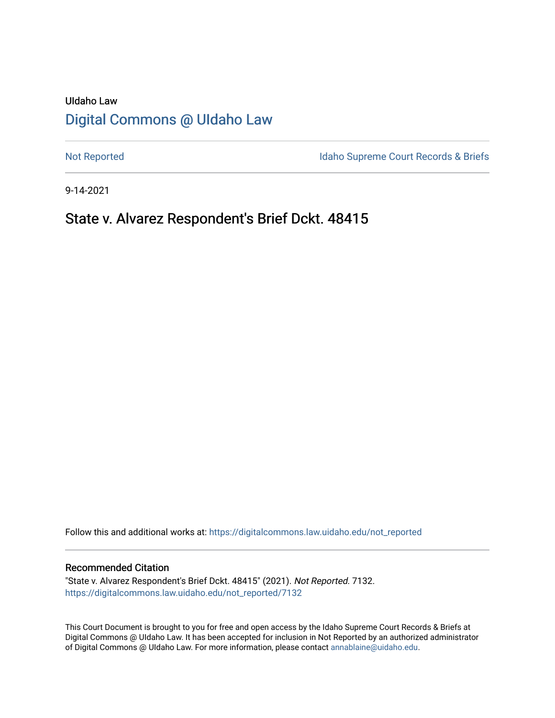# UIdaho Law [Digital Commons @ UIdaho Law](https://digitalcommons.law.uidaho.edu/)

[Not Reported](https://digitalcommons.law.uidaho.edu/not_reported) **Idaho Supreme Court Records & Briefs** 

9-14-2021

# State v. Alvarez Respondent's Brief Dckt. 48415

Follow this and additional works at: [https://digitalcommons.law.uidaho.edu/not\\_reported](https://digitalcommons.law.uidaho.edu/not_reported?utm_source=digitalcommons.law.uidaho.edu%2Fnot_reported%2F7132&utm_medium=PDF&utm_campaign=PDFCoverPages) 

#### Recommended Citation

"State v. Alvarez Respondent's Brief Dckt. 48415" (2021). Not Reported. 7132. [https://digitalcommons.law.uidaho.edu/not\\_reported/7132](https://digitalcommons.law.uidaho.edu/not_reported/7132?utm_source=digitalcommons.law.uidaho.edu%2Fnot_reported%2F7132&utm_medium=PDF&utm_campaign=PDFCoverPages)

This Court Document is brought to you for free and open access by the Idaho Supreme Court Records & Briefs at Digital Commons @ UIdaho Law. It has been accepted for inclusion in Not Reported by an authorized administrator of Digital Commons @ UIdaho Law. For more information, please contact [annablaine@uidaho.edu](mailto:annablaine@uidaho.edu).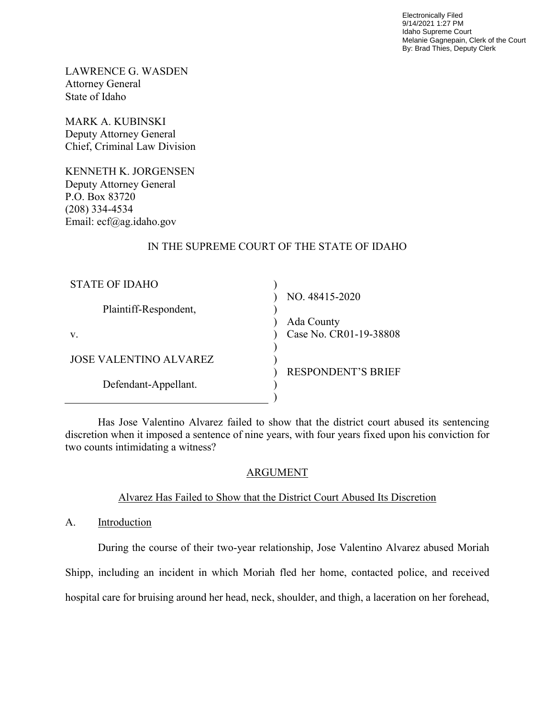Electronically Filed 9/14/2021 1:27 PM Idaho Supreme Court Melanie Gagnepain, Clerk of the Court By: Brad Thies, Deputy Clerk

LAWRENCE G. WASDEN Attorney General State of Idaho

MARK A. KUBINSKI Deputy Attorney General Chief, Criminal Law Division

KENNETH K. JORGENSEN Deputy Attorney General P.O. Box 83720 (208) 334-4534 Email: ecf@ag.idaho.gov

### IN THE SUPREME COURT OF THE STATE OF IDAHO

| STATE OF IDAHO                |                           |
|-------------------------------|---------------------------|
|                               | NO. 48415-2020            |
| Plaintiff-Respondent,         |                           |
|                               | Ada County                |
| V.                            | Case No. CR01-19-38808    |
|                               |                           |
| <b>JOSE VALENTINO ALVAREZ</b> |                           |
|                               | <b>RESPONDENT'S BRIEF</b> |
| Defendant-Appellant.          |                           |
|                               |                           |

 Has Jose Valentino Alvarez failed to show that the district court abused its sentencing discretion when it imposed a sentence of nine years, with four years fixed upon his conviction for two counts intimidating a witness?

## ARGUMENT

## Alvarez Has Failed to Show that the District Court Abused Its Discretion

A. Introduction

 During the course of their two-year relationship, Jose Valentino Alvarez abused Moriah Shipp, including an incident in which Moriah fled her home, contacted police, and received hospital care for bruising around her head, neck, shoulder, and thigh, a laceration on her forehead,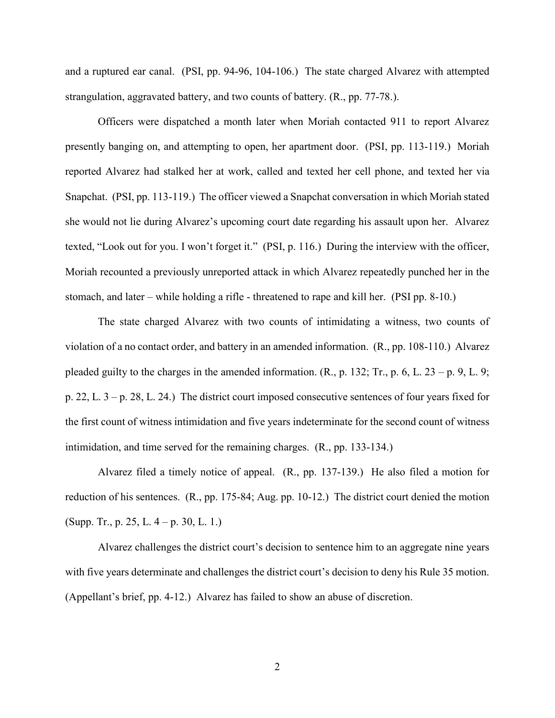and a ruptured ear canal. (PSI, pp. 94-96, 104-106.) The state charged Alvarez with attempted strangulation, aggravated battery, and two counts of battery. (R., pp. 77-78.).

Officers were dispatched a month later when Moriah contacted 911 to report Alvarez presently banging on, and attempting to open, her apartment door. (PSI, pp. 113-119.) Moriah reported Alvarez had stalked her at work, called and texted her cell phone, and texted her via Snapchat. (PSI, pp. 113-119.) The officer viewed a Snapchat conversation in which Moriah stated she would not lie during Alvarez's upcoming court date regarding his assault upon her. Alvarez texted, "Look out for you. I won't forget it." (PSI, p. 116.) During the interview with the officer, Moriah recounted a previously unreported attack in which Alvarez repeatedly punched her in the stomach, and later – while holding a rifle - threatened to rape and kill her. (PSI pp. 8-10.)

The state charged Alvarez with two counts of intimidating a witness, two counts of violation of a no contact order, and battery in an amended information. (R., pp. 108-110.) Alvarez pleaded guilty to the charges in the amended information.  $(R., p. 132; Tr., p. 6, L. 23 - p. 9, L. 9;$ p. 22, L. 3 – p. 28, L. 24.) The district court imposed consecutive sentences of four years fixed for the first count of witness intimidation and five years indeterminate for the second count of witness intimidation, and time served for the remaining charges. (R., pp. 133-134.)

Alvarez filed a timely notice of appeal. (R., pp. 137-139.) He also filed a motion for reduction of his sentences. (R., pp. 175-84; Aug. pp. 10-12.) The district court denied the motion (Supp. Tr., p. 25, L. 4 – p. 30, L. 1.)

 Alvarez challenges the district court's decision to sentence him to an aggregate nine years with five years determinate and challenges the district court's decision to deny his Rule 35 motion. (Appellant's brief, pp. 4-12.) Alvarez has failed to show an abuse of discretion.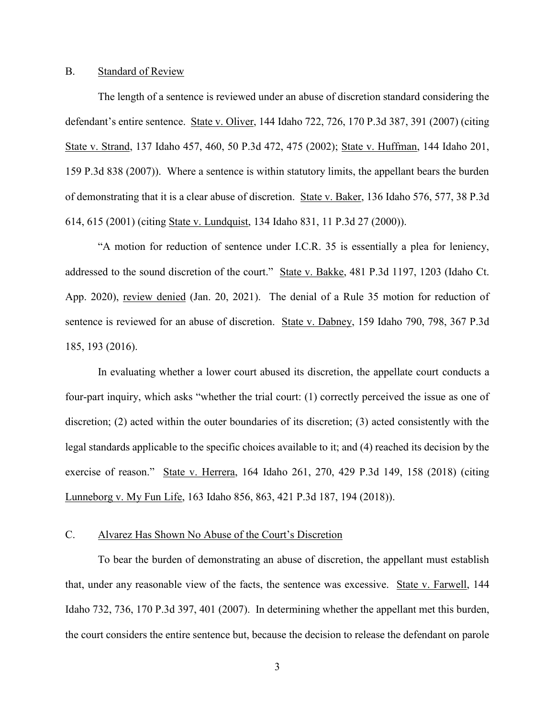#### B. Standard of Review

 The length of a sentence is reviewed under an abuse of discretion standard considering the defendant's entire sentence. State v. Oliver, 144 Idaho 722, 726, 170 P.3d 387, 391 (2007) (citing State v. Strand, 137 Idaho 457, 460, 50 P.3d 472, 475 (2002); State v. Huffman, 144 Idaho 201, 159 P.3d 838 (2007)). Where a sentence is within statutory limits, the appellant bears the burden of demonstrating that it is a clear abuse of discretion. State v. Baker, 136 Idaho 576, 577, 38 P.3d 614, 615 (2001) (citing State v. Lundquist, 134 Idaho 831, 11 P.3d 27 (2000)).

 "A motion for reduction of sentence under I.C.R. 35 is essentially a plea for leniency, addressed to the sound discretion of the court." State v. Bakke, 481 P.3d 1197, 1203 (Idaho Ct. App. 2020), review denied (Jan. 20, 2021). The denial of a Rule 35 motion for reduction of sentence is reviewed for an abuse of discretion. State v. Dabney, 159 Idaho 790, 798, 367 P.3d 185, 193 (2016).

In evaluating whether a lower court abused its discretion, the appellate court conducts a four-part inquiry, which asks "whether the trial court: (1) correctly perceived the issue as one of discretion; (2) acted within the outer boundaries of its discretion; (3) acted consistently with the legal standards applicable to the specific choices available to it; and (4) reached its decision by the exercise of reason." State v. Herrera, 164 Idaho 261, 270, 429 P.3d 149, 158 (2018) (citing Lunneborg v. My Fun Life, 163 Idaho 856, 863, 421 P.3d 187, 194 (2018)).

### C. Alvarez Has Shown No Abuse of the Court's Discretion

 To bear the burden of demonstrating an abuse of discretion, the appellant must establish that, under any reasonable view of the facts, the sentence was excessive. State v. Farwell, 144 Idaho 732, 736, 170 P.3d 397, 401 (2007). In determining whether the appellant met this burden, the court considers the entire sentence but, because the decision to release the defendant on parole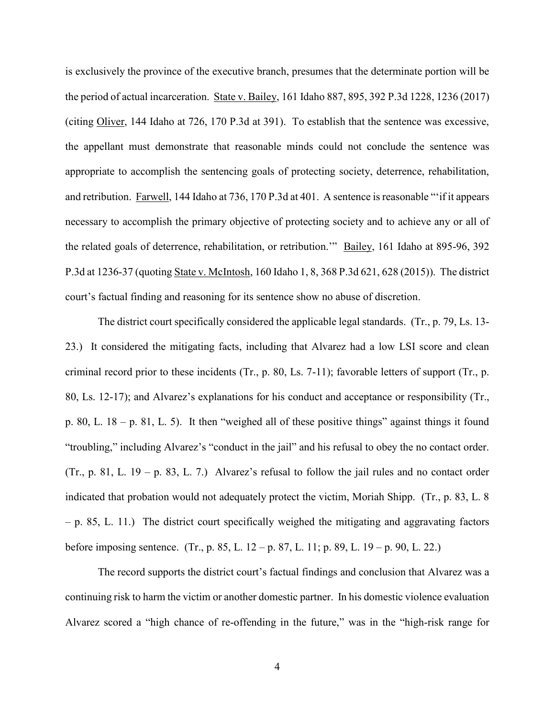is exclusively the province of the executive branch, presumes that the determinate portion will be the period of actual incarceration. State v. Bailey, 161 Idaho 887, 895, 392 P.3d 1228, 1236 (2017) (citing Oliver, 144 Idaho at 726, 170 P.3d at 391). To establish that the sentence was excessive, the appellant must demonstrate that reasonable minds could not conclude the sentence was appropriate to accomplish the sentencing goals of protecting society, deterrence, rehabilitation, and retribution. Farwell, 144 Idaho at 736, 170 P.3d at 401. A sentence is reasonable "'if it appears necessary to accomplish the primary objective of protecting society and to achieve any or all of the related goals of deterrence, rehabilitation, or retribution.'" Bailey, 161 Idaho at 895-96, 392 P.3d at 1236-37 (quoting State v. McIntosh, 160 Idaho 1, 8, 368 P.3d 621, 628 (2015)). The district court's factual finding and reasoning for its sentence show no abuse of discretion.

The district court specifically considered the applicable legal standards. (Tr., p. 79, Ls. 13- 23.) It considered the mitigating facts, including that Alvarez had a low LSI score and clean criminal record prior to these incidents (Tr., p. 80, Ls. 7-11); favorable letters of support (Tr., p. 80, Ls. 12-17); and Alvarez's explanations for his conduct and acceptance or responsibility (Tr., p. 80, L. 18 – p. 81, L. 5). It then "weighed all of these positive things" against things it found "troubling," including Alvarez's "conduct in the jail" and his refusal to obey the no contact order. (Tr., p. 81, L.  $19 - p. 83$ , L. 7.) Alvarez's refusal to follow the jail rules and no contact order indicated that probation would not adequately protect the victim, Moriah Shipp. (Tr., p. 83, L. 8 – p. 85, L. 11.) The district court specifically weighed the mitigating and aggravating factors before imposing sentence. (Tr., p. 85, L. 12 – p. 87, L. 11; p. 89, L. 19 – p. 90, L. 22.)

 The record supports the district court's factual findings and conclusion that Alvarez was a continuing risk to harm the victim or another domestic partner. In his domestic violence evaluation Alvarez scored a "high chance of re-offending in the future," was in the "high-risk range for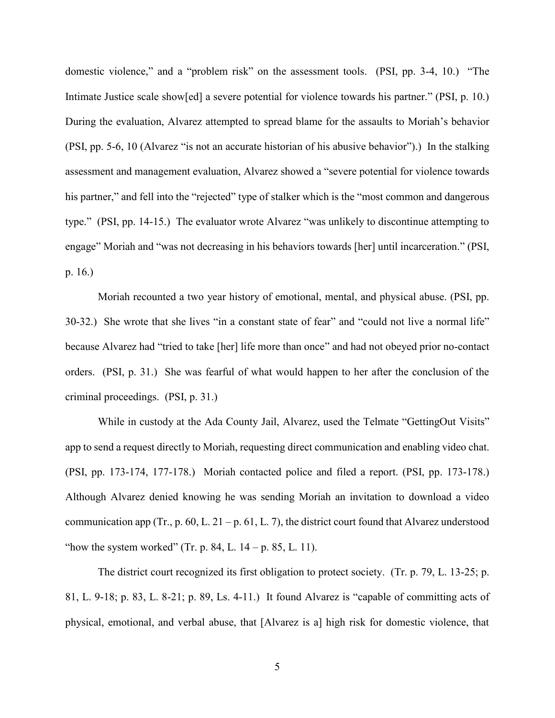domestic violence," and a "problem risk" on the assessment tools. (PSI, pp. 3-4, 10.) "The Intimate Justice scale show[ed] a severe potential for violence towards his partner." (PSI, p. 10.) During the evaluation, Alvarez attempted to spread blame for the assaults to Moriah's behavior (PSI, pp. 5-6, 10 (Alvarez "is not an accurate historian of his abusive behavior").) In the stalking assessment and management evaluation, Alvarez showed a "severe potential for violence towards his partner," and fell into the "rejected" type of stalker which is the "most common and dangerous type." (PSI, pp. 14-15.) The evaluator wrote Alvarez "was unlikely to discontinue attempting to engage" Moriah and "was not decreasing in his behaviors towards [her] until incarceration." (PSI, p. 16.)

Moriah recounted a two year history of emotional, mental, and physical abuse. (PSI, pp. 30-32.) She wrote that she lives "in a constant state of fear" and "could not live a normal life" because Alvarez had "tried to take [her] life more than once" and had not obeyed prior no-contact orders. (PSI, p. 31.) She was fearful of what would happen to her after the conclusion of the criminal proceedings. (PSI, p. 31.)

While in custody at the Ada County Jail, Alvarez, used the Telmate "GettingOut Visits" app to send a request directly to Moriah, requesting direct communication and enabling video chat. (PSI, pp. 173-174, 177-178.) Moriah contacted police and filed a report. (PSI, pp. 173-178.) Although Alvarez denied knowing he was sending Moriah an invitation to download a video communication app (Tr., p. 60, L. 21 – p. 61, L. 7), the district court found that Alvarez understood "how the system worked" (Tr. p. 84, L.  $14 - p$ . 85, L. 11).

The district court recognized its first obligation to protect society. (Tr. p. 79, L. 13-25; p. 81, L. 9-18; p. 83, L. 8-21; p. 89, Ls. 4-11.) It found Alvarez is "capable of committing acts of physical, emotional, and verbal abuse, that [Alvarez is a] high risk for domestic violence, that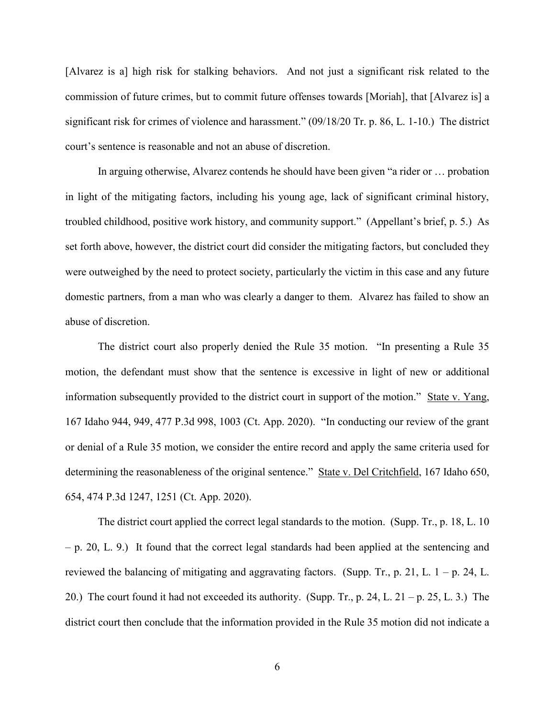[Alvarez is a] high risk for stalking behaviors. And not just a significant risk related to the commission of future crimes, but to commit future offenses towards [Moriah], that [Alvarez is] a significant risk for crimes of violence and harassment." (09/18/20 Tr. p. 86, L. 1-10.) The district court's sentence is reasonable and not an abuse of discretion.

In arguing otherwise, Alvarez contends he should have been given "a rider or … probation in light of the mitigating factors, including his young age, lack of significant criminal history, troubled childhood, positive work history, and community support." (Appellant's brief, p. 5.) As set forth above, however, the district court did consider the mitigating factors, but concluded they were outweighed by the need to protect society, particularly the victim in this case and any future domestic partners, from a man who was clearly a danger to them. Alvarez has failed to show an abuse of discretion.

 The district court also properly denied the Rule 35 motion. "In presenting a Rule 35 motion, the defendant must show that the sentence is excessive in light of new or additional information subsequently provided to the district court in support of the motion." State v. Yang, 167 Idaho 944, 949, 477 P.3d 998, 1003 (Ct. App. 2020). "In conducting our review of the grant or denial of a Rule 35 motion, we consider the entire record and apply the same criteria used for determining the reasonableness of the original sentence." State v. Del Critchfield, 167 Idaho 650, 654, 474 P.3d 1247, 1251 (Ct. App. 2020).

 The district court applied the correct legal standards to the motion. (Supp. Tr., p. 18, L. 10 – p. 20, L. 9.) It found that the correct legal standards had been applied at the sentencing and reviewed the balancing of mitigating and aggravating factors. (Supp. Tr., p. 21, L.  $1 - p$ . 24, L. 20.) The court found it had not exceeded its authority. (Supp. Tr., p. 24, L. 21 – p. 25, L. 3.) The district court then conclude that the information provided in the Rule 35 motion did not indicate a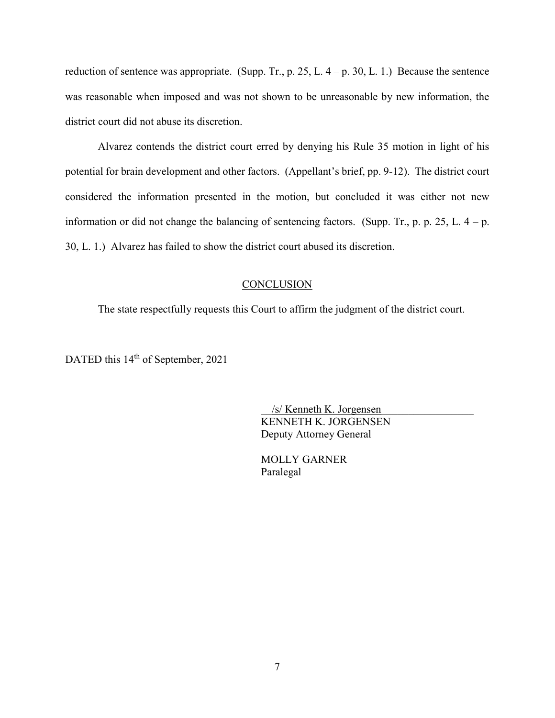reduction of sentence was appropriate. (Supp. Tr., p. 25, L.  $4 - p$ . 30, L. 1.) Because the sentence was reasonable when imposed and was not shown to be unreasonable by new information, the district court did not abuse its discretion.

 Alvarez contends the district court erred by denying his Rule 35 motion in light of his potential for brain development and other factors. (Appellant's brief, pp. 9-12). The district court considered the information presented in the motion, but concluded it was either not new information or did not change the balancing of sentencing factors. (Supp. Tr., p. p. 25, L.  $4 - p$ .) 30, L. 1.) Alvarez has failed to show the district court abused its discretion.

### **CONCLUSION**

The state respectfully requests this Court to affirm the judgment of the district court.

DATED this 14<sup>th</sup> of September, 2021

 \_\_/s/ Kenneth K. Jorgensen\_\_\_\_\_\_\_\_\_\_\_\_\_\_\_\_\_ KENNETH K. JORGENSEN Deputy Attorney General

 MOLLY GARNER Paralegal